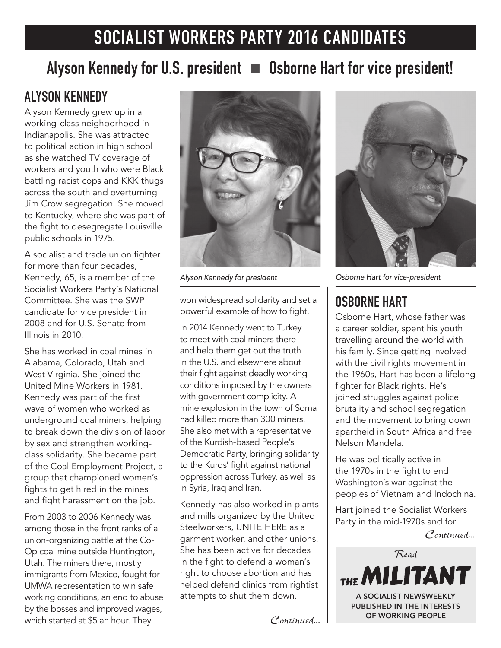# **Socialist Workers Party 2016 Candidates**

## **Alyson Kennedy for U.S. president** ■ **Osborne Hart for vice president!**

### **Alyson Kennedy**

Alyson Kennedy grew up in a working-class neighborhood in Indianapolis. She was attracted to political action in high school as she watched TV coverage of workers and youth who were Black battling racist cops and KKK thugs across the south and overturning Jim Crow segregation. She moved to Kentucky, where she was part of the fight to desegregate Louisville public schools in 1975.

A socialist and trade union fighter for more than four decades, Kennedy, 65, is a member of the Socialist Workers Party's National Committee. She was the SWP candidate for vice president in 2008 and for U.S. Senate from Illinois in 2010.

She has worked in coal mines in Alabama, Colorado, Utah and West Virginia. She joined the United Mine Workers in 1981. Kennedy was part of the first wave of women who worked as underground coal miners, helping to break down the division of labor by sex and strengthen workingclass solidarity. She became part of the Coal Employment Project, a group that championed women's fights to get hired in the mines and fight harassment on the job.

From 2003 to 2006 Kennedy was among those in the front ranks of a union-organizing battle at the Co-Op coal mine outside Huntington, Utah. The miners there, mostly immigrants from Mexico, fought for UMWA representation to win safe working conditions, an end to abuse by the bosses and improved wages, which started at \$5 an hour. They



won widespread solidarity and set a powerful example of how to fight.

In 2014 Kennedy went to Turkey to meet with coal miners there and help them get out the truth in the U.S. and elsewhere about their fight against deadly working conditions imposed by the owners with government complicity. A mine explosion in the town of Soma had killed more than 300 miners. She also met with a representative of the Kurdish-based People's Democratic Party, bringing solidarity to the Kurds' fight against national oppression across Turkey, as well as in Syria, Iraq and Iran.

Kennedy has also worked in plants and mills organized by the United Steelworkers, UNITE HERE as a garment worker, and other unions. She has been active for decades in the fight to defend a woman's right to choose abortion and has helped defend clinics from rightist attempts to shut them down. A SOCIALIST NEWSWEEKLY





*Alyson Kennedy for president Osborne Hart for vice-president*

## **Osborne Hart**

Osborne Hart, whose father was a career soldier, spent his youth travelling around the world with his family. Since getting involved with the civil rights movement in the 1960s, Hart has been a lifelong fighter for Black rights. He's joined struggles against police brutality and school segregation and the movement to bring down apartheid in South Africa and free Nelson Mandela.

He was politically active in the 1970s in the fight to end Washington's war against the peoples of Vietnam and Indochina.

Hart joined the Socialist Workers Party in the mid-1970s and for

*Continued...*